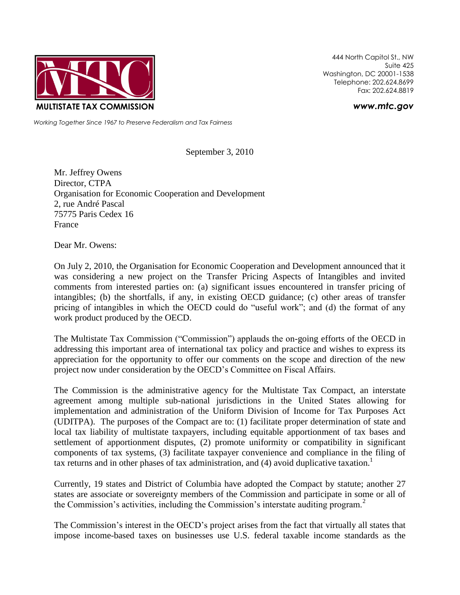

444 North Capitol St., NW Suite 425 Washington, DC 20001-1538 Telephone: 202.624.8699 Fax: 202.624.8819

*www.mtc.gov*

*Working Together Since 1967 to Preserve Federalism and Tax Fairness*

September 3, 2010

Mr. Jeffrey Owens Director, CTPA Organisation for Economic Cooperation and Development 2, rue André Pascal 75775 Paris Cedex 16 France

Dear Mr. Owens:

On July 2, 2010, the Organisation for Economic Cooperation and Development announced that it was considering a new project on the Transfer Pricing Aspects of Intangibles and invited comments from interested parties on: (a) significant issues encountered in transfer pricing of intangibles; (b) the shortfalls, if any, in existing OECD guidance; (c) other areas of transfer pricing of intangibles in which the OECD could do "useful work"; and (d) the format of any work product produced by the OECD.

The Multistate Tax Commission ("Commission") applauds the on-going efforts of the OECD in addressing this important area of international tax policy and practice and wishes to express its appreciation for the opportunity to offer our comments on the scope and direction of the new project now under consideration by the OECD's Committee on Fiscal Affairs.

The Commission is the administrative agency for the Multistate Tax Compact, an interstate agreement among multiple sub-national jurisdictions in the United States allowing for implementation and administration of the Uniform Division of Income for Tax Purposes Act (UDITPA). The purposes of the Compact are to: (1) facilitate proper determination of state and local tax liability of multistate taxpayers, including equitable apportionment of tax bases and settlement of apportionment disputes, (2) promote uniformity or compatibility in significant components of tax systems, (3) facilitate taxpayer convenience and compliance in the filing of tax returns and in other phases of tax administration, and (4) avoid duplicative taxation.<sup>1</sup>

Currently, 19 states and District of Columbia have adopted the Compact by statute; another 27 states are associate or sovereignty members of the Commission and participate in some or all of the Commission's activities, including the Commission's interstate auditing program. $<sup>2</sup>$ </sup>

The Commission's interest in the OECD's project arises from the fact that virtually all states that impose income-based taxes on businesses use U.S. federal taxable income standards as the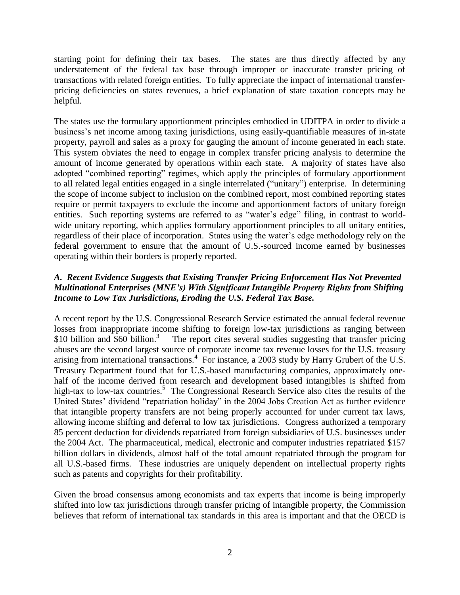starting point for defining their tax bases. The states are thus directly affected by any understatement of the federal tax base through improper or inaccurate transfer pricing of transactions with related foreign entities. To fully appreciate the impact of international transferpricing deficiencies on states revenues, a brief explanation of state taxation concepts may be helpful.

The states use the formulary apportionment principles embodied in UDITPA in order to divide a business's net income among taxing jurisdictions, using easily-quantifiable measures of in-state property, payroll and sales as a proxy for gauging the amount of income generated in each state. This system obviates the need to engage in complex transfer pricing analysis to determine the amount of income generated by operations within each state. A majority of states have also adopted "combined reporting" regimes, which apply the principles of formulary apportionment to all related legal entities engaged in a single interrelated ("unitary") enterprise. In determining the scope of income subject to inclusion on the combined report, most combined reporting states require or permit taxpayers to exclude the income and apportionment factors of unitary foreign entities. Such reporting systems are referred to as "water's edge" filing, in contrast to worldwide unitary reporting, which applies formulary apportionment principles to all unitary entities, regardless of their place of incorporation. States using the water's edge methodology rely on the federal government to ensure that the amount of U.S.-sourced income earned by businesses operating within their borders is properly reported.

# *A. Recent Evidence Suggests that Existing Transfer Pricing Enforcement Has Not Prevented Multinational Enterprises (MNE's) With Significant Intangible Property Rights from Shifting Income to Low Tax Jurisdictions, Eroding the U.S. Federal Tax Base.*

A recent report by the U.S. Congressional Research Service estimated the annual federal revenue losses from inappropriate income shifting to foreign low-tax jurisdictions as ranging between \$10 billion and \$60 billion.<sup>3</sup> The report cites several studies suggesting that transfer pricing abuses are the second largest source of corporate income tax revenue losses for the U.S. treasury arising from international transactions.<sup>4</sup> For instance, a 2003 study by Harry Grubert of the U.S. Treasury Department found that for U.S.-based manufacturing companies, approximately onehalf of the income derived from research and development based intangibles is shifted from high-tax to low-tax countries.<sup>5</sup> The Congressional Research Service also cites the results of the United States' dividend "repatriation holiday" in the 2004 Jobs Creation Act as further evidence that intangible property transfers are not being properly accounted for under current tax laws, allowing income shifting and deferral to low tax jurisdictions. Congress authorized a temporary 85 percent deduction for dividends repatriated from foreign subsidiaries of U.S. businesses under the 2004 Act. The pharmaceutical, medical, electronic and computer industries repatriated \$157 billion dollars in dividends, almost half of the total amount repatriated through the program for all U.S.-based firms. These industries are uniquely dependent on intellectual property rights such as patents and copyrights for their profitability.

Given the broad consensus among economists and tax experts that income is being improperly shifted into low tax jurisdictions through transfer pricing of intangible property, the Commission believes that reform of international tax standards in this area is important and that the OECD is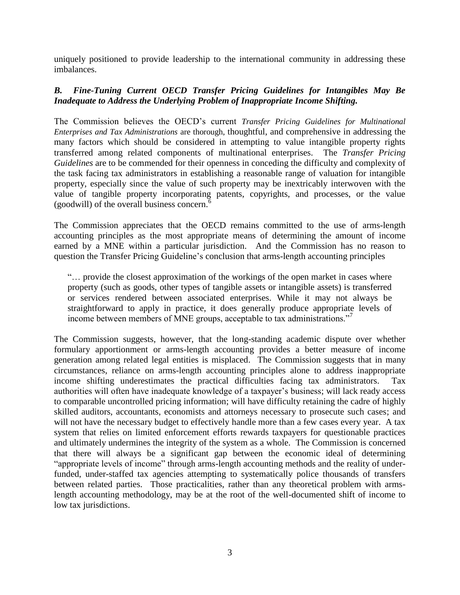uniquely positioned to provide leadership to the international community in addressing these imbalances.

### *B. Fine-Tuning Current OECD Transfer Pricing Guidelines for Intangibles May Be Inadequate to Address the Underlying Problem of Inappropriate Income Shifting.*

The Commission believes the OECD's current *Transfer Pricing Guidelines for Multinational Enterprises and Tax Administrations* are thorough, thoughtful, and comprehensive in addressing the many factors which should be considered in attempting to value intangible property rights transferred among related components of multinational enterprises. The *Transfer Pricing Guidelines* are to be commended for their openness in conceding the difficulty and complexity of the task facing tax administrators in establishing a reasonable range of valuation for intangible property, especially since the value of such property may be inextricably interwoven with the value of tangible property incorporating patents, copyrights, and processes, or the value (goodwill) of the overall business concern. $<sup>6</sup>$ </sup>

The Commission appreciates that the OECD remains committed to the use of arms-length accounting principles as the most appropriate means of determining the amount of income earned by a MNE within a particular jurisdiction. And the Commission has no reason to question the Transfer Pricing Guideline's conclusion that arms-length accounting principles

"… provide the closest approximation of the workings of the open market in cases where property (such as goods, other types of tangible assets or intangible assets) is transferred or services rendered between associated enterprises. While it may not always be straightforward to apply in practice, it does generally produce appropriate levels of income between members of MNE groups, acceptable to tax administrations."<sup>7</sup>

The Commission suggests, however, that the long-standing academic dispute over whether formulary apportionment or arms-length accounting provides a better measure of income generation among related legal entities is misplaced. The Commission suggests that in many circumstances, reliance on arms-length accounting principles alone to address inappropriate income shifting underestimates the practical difficulties facing tax administrators. Tax authorities will often have inadequate knowledge of a taxpayer's business; will lack ready access to comparable uncontrolled pricing information; will have difficulty retaining the cadre of highly skilled auditors, accountants, economists and attorneys necessary to prosecute such cases; and will not have the necessary budget to effectively handle more than a few cases every year. A tax system that relies on limited enforcement efforts rewards taxpayers for questionable practices and ultimately undermines the integrity of the system as a whole. The Commission is concerned that there will always be a significant gap between the economic ideal of determining "appropriate levels of income" through arms-length accounting methods and the reality of underfunded, under-staffed tax agencies attempting to systematically police thousands of transfers between related parties. Those practicalities, rather than any theoretical problem with armslength accounting methodology, may be at the root of the well-documented shift of income to low tax jurisdictions.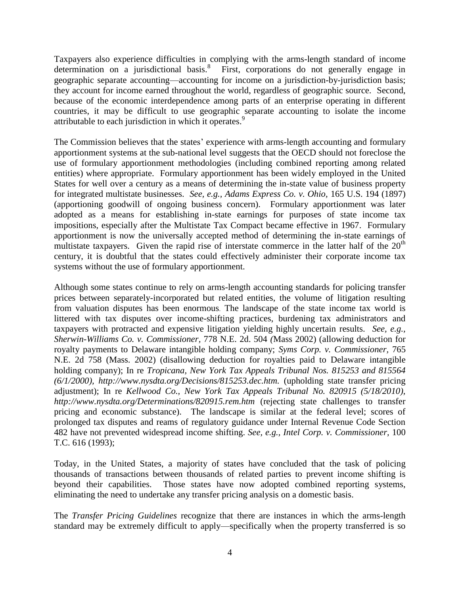Taxpayers also experience difficulties in complying with the arms-length standard of income determination on a jurisdictional basis.<sup>8</sup> First, corporations do not generally engage in geographic separate accounting—accounting for income on a jurisdiction-by-jurisdiction basis; they account for income earned throughout the world, regardless of geographic source. Second, because of the economic interdependence among parts of an enterprise operating in different countries, it may be difficult to use geographic separate accounting to isolate the income attributable to each jurisdiction in which it operates.<sup>9</sup>

The Commission believes that the states' experience with arms-length accounting and formulary apportionment systems at the sub-national level suggests that the OECD should not foreclose the use of formulary apportionment methodologies (including combined reporting among related entities) where appropriate. Formulary apportionment has been widely employed in the United States for well over a century as a means of determining the in-state value of business property for integrated multistate businesses. *See, e.g., Adams Express Co. v. Ohio,* 165 U.S. 194 (1897) (apportioning goodwill of ongoing business concern). Formulary apportionment was later adopted as a means for establishing in-state earnings for purposes of state income tax impositions, especially after the Multistate Tax Compact became effective in 1967. Formulary apportionment is now the universally accepted method of determining the in-state earnings of multistate taxpayers. Given the rapid rise of interstate commerce in the latter half of the  $20<sup>th</sup>$ century, it is doubtful that the states could effectively administer their corporate income tax systems without the use of formulary apportionment.

Although some states continue to rely on arms-length accounting standards for policing transfer prices between separately-incorporated but related entities, the volume of litigation resulting from valuation disputes has been enormous. The landscape of the state income tax world is littered with tax disputes over income-shifting practices, burdening tax administrators and taxpayers with protracted and expensive litigation yielding highly uncertain results. *See, e.g., Sherwin-Williams Co. v. Commissioner,* 778 N.E. 2d. 504 *(*Mass 2002) (allowing deduction for royalty payments to Delaware intangible holding company; *Syms Corp. v. Commissioner,* 765 N.E. 2d 758 (Mass. 2002) (disallowing deduction for royalties paid to Delaware intangible holding company); In re *Tropicana, New York Tax Appeals Tribunal Nos. 815253 and 815564 (6/1/2000), http://www.nysdta.org/Decisions/815253.dec.htm.* (upholding state transfer pricing adjustment); In re *Kellwood Co., New York Tax Appeals Tribunal No. 820915 (5/18/2010), http://www.nysdta.org/Determinations/820915.rem.htm* (rejecting state challenges to transfer pricing and economic substance). The landscape is similar at the federal level; scores of prolonged tax disputes and reams of regulatory guidance under Internal Revenue Code Section 482 have not prevented widespread income shifting. *See, e.g., Intel Corp. v. Commissioner,* 100 T.C. 616 (1993);

Today, in the United States, a majority of states have concluded that the task of policing thousands of transactions between thousands of related parties to prevent income shifting is beyond their capabilities. Those states have now adopted combined reporting systems, eliminating the need to undertake any transfer pricing analysis on a domestic basis.

The *Transfer Pricing Guidelines* recognize that there are instances in which the arms-length standard may be extremely difficult to apply—specifically when the property transferred is so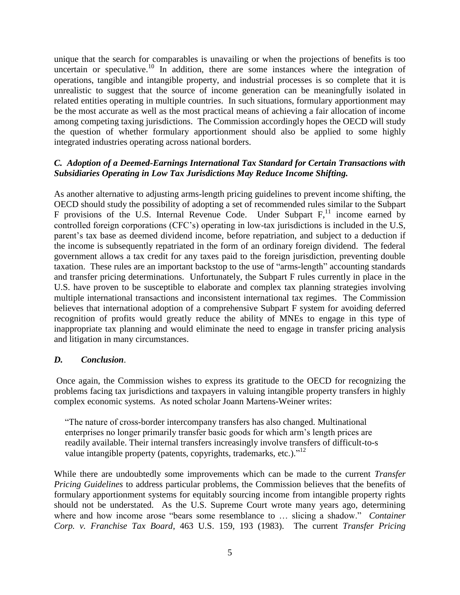unique that the search for comparables is unavailing or when the projections of benefits is too uncertain or speculative.<sup>10</sup> In addition, there are some instances where the integration of operations, tangible and intangible property, and industrial processes is so complete that it is unrealistic to suggest that the source of income generation can be meaningfully isolated in related entities operating in multiple countries. In such situations, formulary apportionment may be the most accurate as well as the most practical means of achieving a fair allocation of income among competing taxing jurisdictions. The Commission accordingly hopes the OECD will study the question of whether formulary apportionment should also be applied to some highly integrated industries operating across national borders.

## *C. Adoption of a Deemed-Earnings International Tax Standard for Certain Transactions with Subsidiaries Operating in Low Tax Jurisdictions May Reduce Income Shifting.*

As another alternative to adjusting arms-length pricing guidelines to prevent income shifting, the OECD should study the possibility of adopting a set of recommended rules similar to the Subpart F provisions of the U.S. Internal Revenue Code. Under Subpart  $F<sub>1</sub><sup>11</sup>$  income earned by controlled foreign corporations (CFC's) operating in low-tax jurisdictions is included in the U.S, parent's tax base as deemed dividend income, before repatriation, and subject to a deduction if the income is subsequently repatriated in the form of an ordinary foreign dividend. The federal government allows a tax credit for any taxes paid to the foreign jurisdiction, preventing double taxation. These rules are an important backstop to the use of "arms-length" accounting standards and transfer pricing determinations. Unfortunately, the Subpart F rules currently in place in the U.S. have proven to be susceptible to elaborate and complex tax planning strategies involving multiple international transactions and inconsistent international tax regimes. The Commission believes that international adoption of a comprehensive Subpart F system for avoiding deferred recognition of profits would greatly reduce the ability of MNEs to engage in this type of inappropriate tax planning and would eliminate the need to engage in transfer pricing analysis and litigation in many circumstances.

#### *D. Conclusion*.

Once again, the Commission wishes to express its gratitude to the OECD for recognizing the problems facing tax jurisdictions and taxpayers in valuing intangible property transfers in highly complex economic systems. As noted scholar Joann Martens-Weiner writes:

"The nature of cross-border intercompany transfers has also changed. Multinational enterprises no longer primarily transfer basic goods for which arm's length prices are readily available. Their internal transfers increasingly involve transfers of difficult-to-s value intangible property (patents, copyrights, trademarks, etc.)."<sup>12</sup>

While there are undoubtedly some improvements which can be made to the current *Transfer Pricing Guidelines* to address particular problems, the Commission believes that the benefits of formulary apportionment systems for equitably sourcing income from intangible property rights should not be understated. As the U.S. Supreme Court wrote many years ago, determining where and how income arose "bears some resemblance to … slicing a shadow." *Container Corp. v. Franchise Tax Board*, 463 U.S. 159, 193 (1983). The current *Transfer Pricing*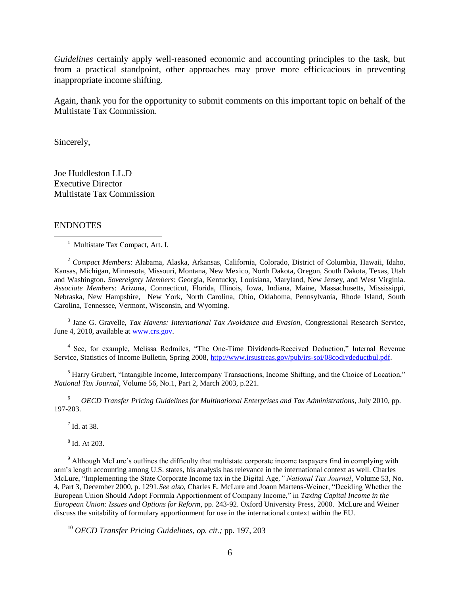*Guidelines* certainly apply well-reasoned economic and accounting principles to the task, but from a practical standpoint, other approaches may prove more efficicacious in preventing inappropriate income shifting.

Again, thank you for the opportunity to submit comments on this important topic on behalf of the Multistate Tax Commission.

Sincerely,

Joe Huddleston LL.D Executive Director Multistate Tax Commission

#### ENDNOTES

 $\overline{a}$ 

<sup>1</sup> Multistate Tax Compact, Art. I.

<sup>2</sup> *Compact Members*: Alabama, Alaska, Arkansas, California, Colorado, District of Columbia, Hawaii, Idaho, Kansas, Michigan, Minnesota, Missouri, Montana, New Mexico, North Dakota, Oregon, South Dakota, Texas, Utah and Washington. *Sovereignty Members*: Georgia, Kentucky, Louisiana, Maryland, New Jersey, and West Virginia. *Associate Members*: Arizona, Connecticut, Florida, Illinois, Iowa, Indiana, Maine, Massachusetts, Mississippi, Nebraska, New Hampshire, New York, North Carolina, Ohio, Oklahoma, Pennsylvania, Rhode Island, South Carolina, Tennessee, Vermont, Wisconsin, and Wyoming.

<sup>3</sup> Jane G. Gravelle, *Tax Havens: International Tax Avoidance and Evasion*, Congressional Research Service, June 4, 2010, available at [www.crs.gov.](http://www.crs.gov/)

<sup>4</sup> See, for example, Melissa Redmiles, "The One-Time Dividends-Received Deduction," Internal Revenue Service, Statistics of Income Bulletin, Spring 2008, [http://www.irsustreas.gov/pub/irs-soi/08codivdeductbul.pdf.](http://www.irsustreas.gov/pub/irs-soi/08codivdeductbul.pdf)

<sup>5</sup> Harry Grubert, "Intangible Income, Intercompany Transactions, Income Shifting, and the Choice of Location," *National Tax Journal*, Volume 56, No.1, Part 2, March 2003, p.221.

<sup>6</sup> *OECD Transfer Pricing Guidelines for Multinational Enterprises and Tax Administrations*, July 2010, pp. 197-203.

 $<sup>7</sup>$  Id. at 38.</sup>

8 Id. At 203.

<sup>9</sup> Although McLure's outlines the difficulty that multistate corporate income taxpayers find in complying with arm's length accounting among U.S. states, his analysis has relevance in the international context as well. Charles McLure, "Implementing the State Corporate Income tax in the Digital Age*," National Tax Journal*, Volume 53, No. 4, Part 3, December 2000, p. 1291.*See also*, Charles E. McLure and Joann Martens-Weiner, "Deciding Whether the European Union Should Adopt Formula Apportionment of Company Income," in *Taxing Capital Income in the European Union: Issues and Options for Reform*, pp. 243-92. Oxford University Press, 2000. McLure and Weiner discuss the suitability of formulary apportionment for use in the international context within the EU.

<sup>10</sup> *OECD Transfer Pricing Guidelines, op. cit.;* pp. 197, 203